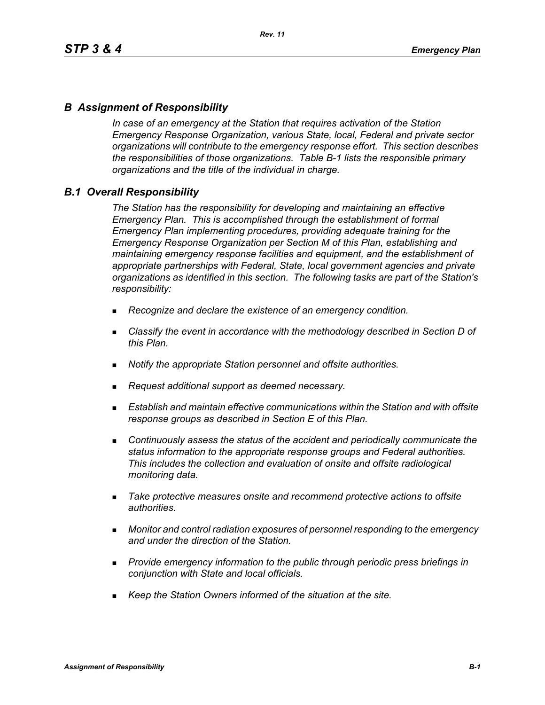# *B Assignment of Responsibility*

*In case of an emergency at the Station that requires activation of the Station Emergency Response Organization, various State, local, Federal and private sector organizations will contribute to the emergency response effort. This section describes the responsibilities of those organizations. Table B-1 lists the responsible primary organizations and the title of the individual in charge.*

### *B.1 Overall Responsibility*

*The Station has the responsibility for developing and maintaining an effective Emergency Plan. This is accomplished through the establishment of formal Emergency Plan implementing procedures, providing adequate training for the Emergency Response Organization per Section M of this Plan, establishing and maintaining emergency response facilities and equipment, and the establishment of appropriate partnerships with Federal, State, local government agencies and private organizations as identified in this section. The following tasks are part of the Station's responsibility:*

- *Recognize and declare the existence of an emergency condition.*
- *Classify the event in accordance with the methodology described in Section D of this Plan.*
- *Notify the appropriate Station personnel and offsite authorities.*
- *Request additional support as deemed necessary.*
- **Establish and maintain effective communications within the Station and with offsite** *response groups as described in Section E of this Plan.*
- *Continuously assess the status of the accident and periodically communicate the status information to the appropriate response groups and Federal authorities. This includes the collection and evaluation of onsite and offsite radiological monitoring data.*
- *Take protective measures onsite and recommend protective actions to offsite authorities.*
- *Monitor and control radiation exposures of personnel responding to the emergency and under the direction of the Station.*
- *Provide emergency information to the public through periodic press briefings in conjunction with State and local officials.*
- *Keep the Station Owners informed of the situation at the site.*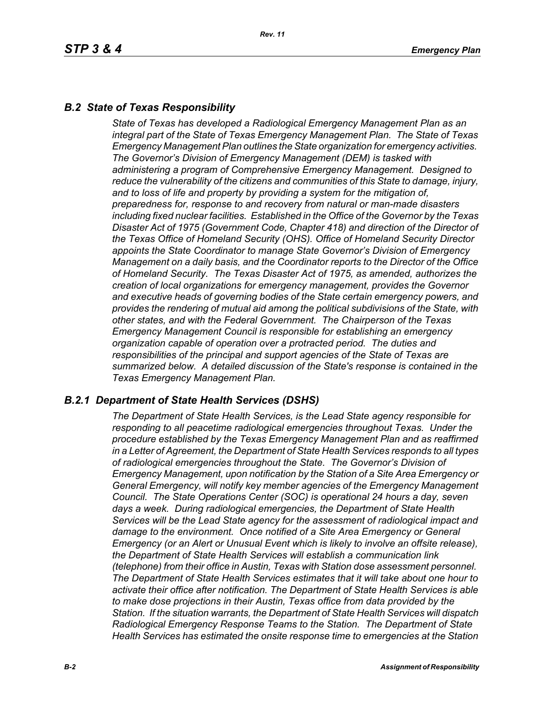# *B.2 State of Texas Responsibility*

*State of Texas has developed a Radiological Emergency Management Plan as an integral part of the State of Texas Emergency Management Plan. The State of Texas Emergency Management Plan outlines the State organization for emergency activities. The Governor's Division of Emergency Management (DEM) is tasked with administering a program of Comprehensive Emergency Management. Designed to reduce the vulnerability of the citizens and communities of this State to damage, injury, and to loss of life and property by providing a system for the mitigation of, preparedness for, response to and recovery from natural or man-made disasters including fixed nuclear facilities. Established in the Office of the Governor by the Texas Disaster Act of 1975 (Government Code, Chapter 418) and direction of the Director of the Texas Office of Homeland Security (OHS). Office of Homeland Security Director appoints the State Coordinator to manage State Governor's Division of Emergency Management on a daily basis, and the Coordinator reports to the Director of the Office of Homeland Security. The Texas Disaster Act of 1975, as amended, authorizes the creation of local organizations for emergency management, provides the Governor and executive heads of governing bodies of the State certain emergency powers, and provides the rendering of mutual aid among the political subdivisions of the State, with other states, and with the Federal Government. The Chairperson of the Texas Emergency Management Council is responsible for establishing an emergency organization capable of operation over a protracted period. The duties and responsibilities of the principal and support agencies of the State of Texas are summarized below. A detailed discussion of the State's response is contained in the Texas Emergency Management Plan.*

# *B.2.1 Department of State Health Services (DSHS)*

*The Department of State Health Services, is the Lead State agency responsible for responding to all peacetime radiological emergencies throughout Texas. Under the procedure established by the Texas Emergency Management Plan and as reaffirmed in a Letter of Agreement, the Department of State Health Services responds to all types of radiological emergencies throughout the State. The Governor's Division of Emergency Management, upon notification by the Station of a Site Area Emergency or General Emergency, will notify key member agencies of the Emergency Management Council. The State Operations Center (SOC) is operational 24 hours a day, seven days a week. During radiological emergencies, the Department of State Health Services will be the Lead State agency for the assessment of radiological impact and damage to the environment. Once notified of a Site Area Emergency or General Emergency (or an Alert or Unusual Event which is likely to involve an offsite release), the Department of State Health Services will establish a communication link (telephone) from their office in Austin, Texas with Station dose assessment personnel. The Department of State Health Services estimates that it will take about one hour to activate their office after notification. The Department of State Health Services is able to make dose projections in their Austin, Texas office from data provided by the Station. If the situation warrants, the Department of State Health Services will dispatch Radiological Emergency Response Teams to the Station. The Department of State Health Services has estimated the onsite response time to emergencies at the Station*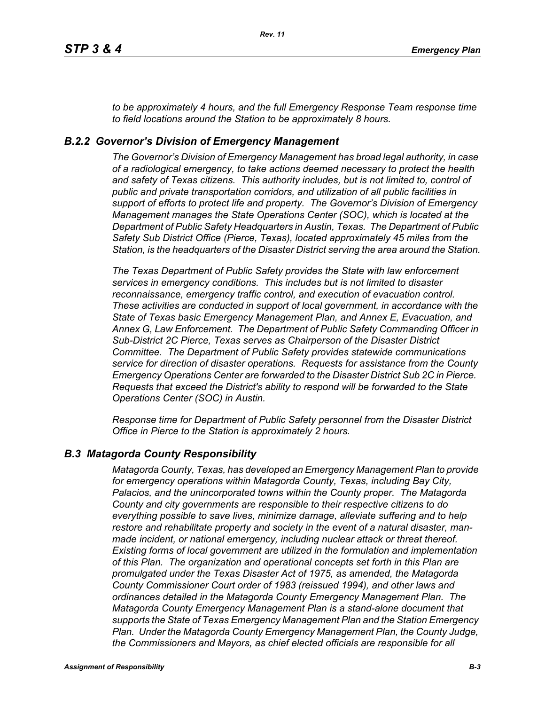*to be approximately 4 hours, and the full Emergency Response Team response time to field locations around the Station to be approximately 8 hours.*

### *B.2.2 Governor's Division of Emergency Management*

*The Governor's Division of Emergency Management has broad legal authority, in case of a radiological emergency, to take actions deemed necessary to protect the health and safety of Texas citizens. This authority includes, but is not limited to, control of public and private transportation corridors, and utilization of all public facilities in support of efforts to protect life and property. The Governor's Division of Emergency Management manages the State Operations Center (SOC), which is located at the Department of Public Safety Headquarters in Austin, Texas. The Department of Public Safety Sub District Office (Pierce, Texas), located approximately 45 miles from the Station, is the headquarters of the Disaster District serving the area around the Station.*

*The Texas Department of Public Safety provides the State with law enforcement services in emergency conditions. This includes but is not limited to disaster reconnaissance, emergency traffic control, and execution of evacuation control. These activities are conducted in support of local government, in accordance with the State of Texas basic Emergency Management Plan, and Annex E, Evacuation, and Annex G, Law Enforcement. The Department of Public Safety Commanding Officer in Sub-District 2C Pierce, Texas serves as Chairperson of the Disaster District Committee. The Department of Public Safety provides statewide communications service for direction of disaster operations. Requests for assistance from the County Emergency Operations Center are forwarded to the Disaster District Sub 2C in Pierce. Requests that exceed the District's ability to respond will be forwarded to the State Operations Center (SOC) in Austin.* 

*Response time for Department of Public Safety personnel from the Disaster District Office in Pierce to the Station is approximately 2 hours.*

#### *B.3 Matagorda County Responsibility*

*Matagorda County, Texas, has developed an Emergency Management Plan to provide for emergency operations within Matagorda County, Texas, including Bay City, Palacios, and the unincorporated towns within the County proper. The Matagorda County and city governments are responsible to their respective citizens to do everything possible to save lives, minimize damage, alleviate suffering and to help restore and rehabilitate property and society in the event of a natural disaster, manmade incident, or national emergency, including nuclear attack or threat thereof. Existing forms of local government are utilized in the formulation and implementation of this Plan. The organization and operational concepts set forth in this Plan are promulgated under the Texas Disaster Act of 1975, as amended, the Matagorda County Commissioner Court order of 1983 (reissued 1994), and other laws and ordinances detailed in the Matagorda County Emergency Management Plan. The Matagorda County Emergency Management Plan is a stand-alone document that supports the State of Texas Emergency Management Plan and the Station Emergency Plan. Under the Matagorda County Emergency Management Plan, the County Judge, the Commissioners and Mayors, as chief elected officials are responsible for all*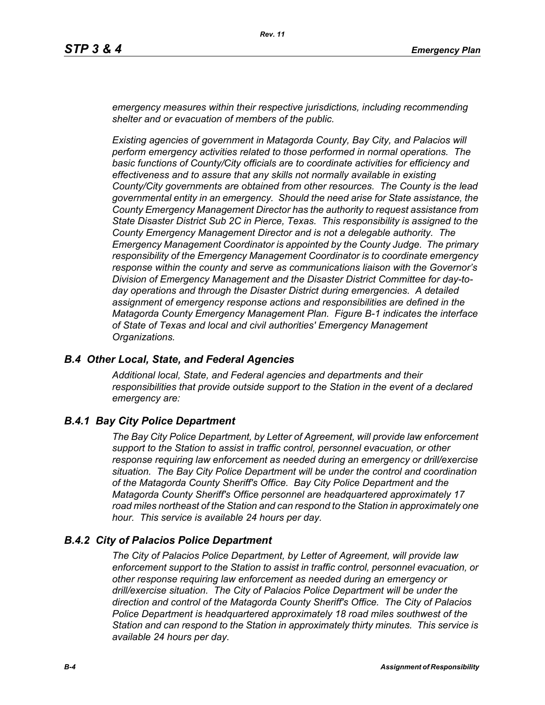*emergency measures within their respective jurisdictions, including recommending shelter and or evacuation of members of the public.* 

*Existing agencies of government in Matagorda County, Bay City, and Palacios will perform emergency activities related to those performed in normal operations. The basic functions of County/City officials are to coordinate activities for efficiency and effectiveness and to assure that any skills not normally available in existing County/City governments are obtained from other resources. The County is the lead governmental entity in an emergency. Should the need arise for State assistance, the County Emergency Management Director has the authority to request assistance from State Disaster District Sub 2C in Pierce, Texas. This responsibility is assigned to the County Emergency Management Director and is not a delegable authority. The Emergency Management Coordinator is appointed by the County Judge. The primary responsibility of the Emergency Management Coordinator is to coordinate emergency response within the county and serve as communications liaison with the Governor's Division of Emergency Management and the Disaster District Committee for day-today operations and through the Disaster District during emergencies. A detailed assignment of emergency response actions and responsibilities are defined in the Matagorda County Emergency Management Plan. Figure B-1 indicates the interface of State of Texas and local and civil authorities' Emergency Management Organizations.*

#### *B.4 Other Local, State, and Federal Agencies*

*Additional local, State, and Federal agencies and departments and their responsibilities that provide outside support to the Station in the event of a declared emergency are:*

# *B.4.1 Bay City Police Department*

*The Bay City Police Department, by Letter of Agreement, will provide law enforcement support to the Station to assist in traffic control, personnel evacuation, or other response requiring law enforcement as needed during an emergency or drill/exercise situation. The Bay City Police Department will be under the control and coordination of the Matagorda County Sheriff's Office. Bay City Police Department and the Matagorda County Sheriff's Office personnel are headquartered approximately 17 road miles northeast of the Station and can respond to the Station in approximately one hour. This service is available 24 hours per day.*

# *B.4.2 City of Palacios Police Department*

*The City of Palacios Police Department, by Letter of Agreement, will provide law enforcement support to the Station to assist in traffic control, personnel evacuation, or other response requiring law enforcement as needed during an emergency or drill/exercise situation. The City of Palacios Police Department will be under the direction and control of the Matagorda County Sheriff's Office. The City of Palacios Police Department is headquartered approximately 18 road miles southwest of the Station and can respond to the Station in approximately thirty minutes. This service is available 24 hours per day.*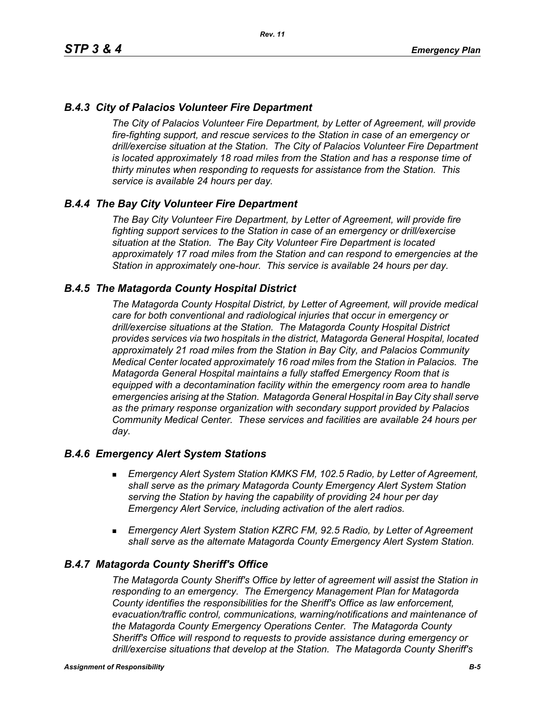# *B.4.3 City of Palacios Volunteer Fire Department*

*The City of Palacios Volunteer Fire Department, by Letter of Agreement, will provide fire-fighting support, and rescue services to the Station in case of an emergency or drill/exercise situation at the Station. The City of Palacios Volunteer Fire Department is located approximately 18 road miles from the Station and has a response time of thirty minutes when responding to requests for assistance from the Station. This service is available 24 hours per day.*

### *B.4.4 The Bay City Volunteer Fire Department*

*The Bay City Volunteer Fire Department, by Letter of Agreement, will provide fire fighting support services to the Station in case of an emergency or drill/exercise situation at the Station. The Bay City Volunteer Fire Department is located approximately 17 road miles from the Station and can respond to emergencies at the Station in approximately one-hour. This service is available 24 hours per day.*

### *B.4.5 The Matagorda County Hospital District*

*The Matagorda County Hospital District, by Letter of Agreement, will provide medical care for both conventional and radiological injuries that occur in emergency or drill/exercise situations at the Station. The Matagorda County Hospital District provides services via two hospitals in the district, Matagorda General Hospital, located approximately 21 road miles from the Station in Bay City, and Palacios Community Medical Center located approximately 16 road miles from the Station in Palacios. The Matagorda General Hospital maintains a fully staffed Emergency Room that is equipped with a decontamination facility within the emergency room area to handle emergencies arising at the Station. Matagorda General Hospital in Bay City shall serve as the primary response organization with secondary support provided by Palacios Community Medical Center. These services and facilities are available 24 hours per day.*

#### *B.4.6 Emergency Alert System Stations*

- *Emergency Alert System Station KMKS FM, 102.5 Radio, by Letter of Agreement, shall serve as the primary Matagorda County Emergency Alert System Station serving the Station by having the capability of providing 24 hour per day Emergency Alert Service, including activation of the alert radios.*
- *Emergency Alert System Station KZRC FM, 92.5 Radio, by Letter of Agreement shall serve as the alternate Matagorda County Emergency Alert System Station.*

#### *B.4.7 Matagorda County Sheriff's Office*

*The Matagorda County Sheriff's Office by letter of agreement will assist the Station in responding to an emergency. The Emergency Management Plan for Matagorda County identifies the responsibilities for the Sheriff's Office as law enforcement, evacuation/traffic control, communications, warning/notifications and maintenance of the Matagorda County Emergency Operations Center. The Matagorda County Sheriff's Office will respond to requests to provide assistance during emergency or drill/exercise situations that develop at the Station. The Matagorda County Sheriff's*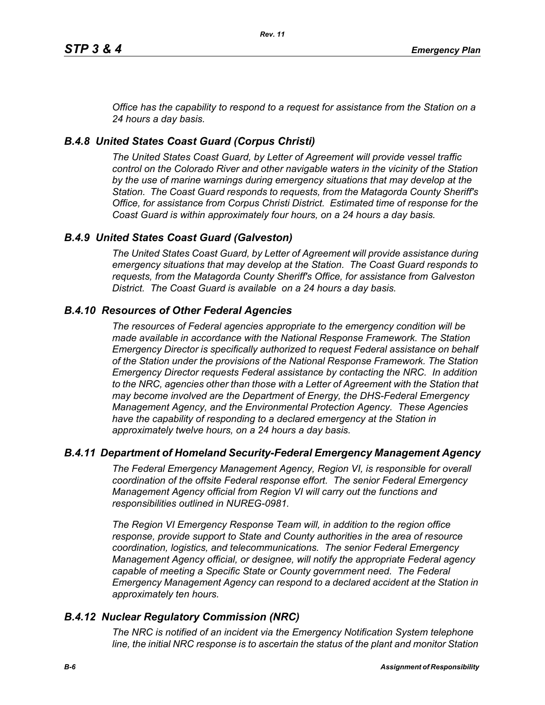*Office has the capability to respond to a request for assistance from the Station on a 24 hours a day basis.*

# *B.4.8 United States Coast Guard (Corpus Christi)*

*The United States Coast Guard, by Letter of Agreement will provide vessel traffic control on the Colorado River and other navigable waters in the vicinity of the Station by the use of marine warnings during emergency situations that may develop at the Station. The Coast Guard responds to requests, from the Matagorda County Sheriff's Office, for assistance from Corpus Christi District. Estimated time of response for the Coast Guard is within approximately four hours, on a 24 hours a day basis.*

# *B.4.9 United States Coast Guard (Galveston)*

*The United States Coast Guard, by Letter of Agreement will provide assistance during emergency situations that may develop at the Station. The Coast Guard responds to requests, from the Matagorda County Sheriff's Office, for assistance from Galveston District. The Coast Guard is available on a 24 hours a day basis.*

# *B.4.10 Resources of Other Federal Agencies*

*The resources of Federal agencies appropriate to the emergency condition will be made available in accordance with the National Response Framework. The Station Emergency Director is specifically authorized to request Federal assistance on behalf of the Station under the provisions of the National Response Framework. The Station Emergency Director requests Federal assistance by contacting the NRC. In addition*  to the NRC, agencies other than those with a Letter of Agreement with the Station that *may become involved are the Department of Energy, the DHS-Federal Emergency Management Agency, and the Environmental Protection Agency. These Agencies*  have the capability of responding to a declared emergency at the Station in *approximately twelve hours, on a 24 hours a day basis.*

# *B.4.11 Department of Homeland Security-Federal Emergency Management Agency*

*The Federal Emergency Management Agency, Region VI, is responsible for overall coordination of the offsite Federal response effort. The senior Federal Emergency Management Agency official from Region VI will carry out the functions and responsibilities outlined in NUREG-0981.*

*The Region VI Emergency Response Team will, in addition to the region office response, provide support to State and County authorities in the area of resource coordination, logistics, and telecommunications. The senior Federal Emergency Management Agency official, or designee, will notify the appropriate Federal agency*  capable of meeting a Specific State or County government need. The Federal *Emergency Management Agency can respond to a declared accident at the Station in approximately ten hours.*

# *B.4.12 Nuclear Regulatory Commission (NRC)*

*The NRC is notified of an incident via the Emergency Notification System telephone line, the initial NRC response is to ascertain the status of the plant and monitor Station*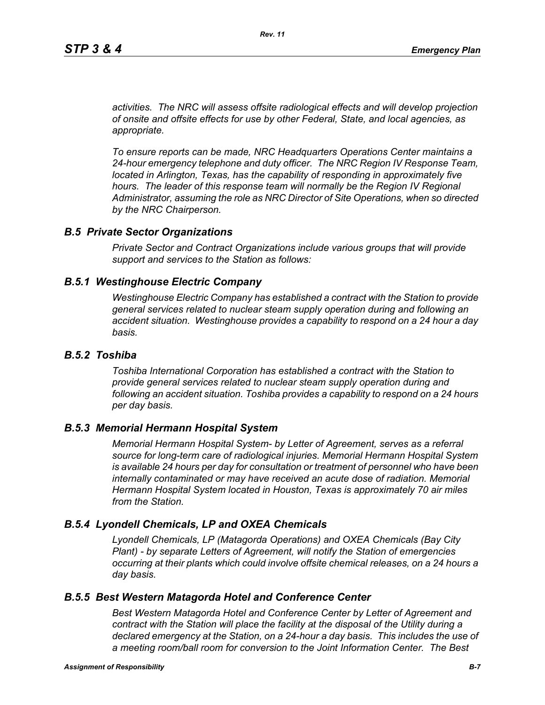*activities. The NRC will assess offsite radiological effects and will develop projection of onsite and offsite effects for use by other Federal, State, and local agencies, as appropriate.*

*To ensure reports can be made, NRC Headquarters Operations Center maintains a 24-hour emergency telephone and duty officer. The NRC Region IV Response Team, located in Arlington, Texas, has the capability of responding in approximately five* hours. The leader of this response team will normally be the Region IV Regional *Administrator, assuming the role as NRC Director of Site Operations, when so directed by the NRC Chairperson.*

#### *B.5 Private Sector Organizations*

*Private Sector and Contract Organizations include various groups that will provide support and services to the Station as follows:*

#### *B.5.1 Westinghouse Electric Company*

*Westinghouse Electric Company has established a contract with the Station to provide general services related to nuclear steam supply operation during and following an accident situation. Westinghouse provides a capability to respond on a 24 hour a day basis.* 

#### *B.5.2 Toshiba*

*Toshiba International Corporation has established a contract with the Station to provide general services related to nuclear steam supply operation during and following an accident situation. Toshiba provides a capability to respond on a 24 hours per day basis.*

#### *B.5.3 Memorial Hermann Hospital System*

*Memorial Hermann Hospital System- by Letter of Agreement, serves as a referral source for long-term care of radiological injuries. Memorial Hermann Hospital System is available 24 hours per day for consultation or treatment of personnel who have been*  internally contaminated or may have received an acute dose of radiation. Memorial *Hermann Hospital System located in Houston, Texas is approximately 70 air miles from the Station.*

#### *B.5.4 Lyondell Chemicals, LP and OXEA Chemicals*

*Lyondell Chemicals, LP (Matagorda Operations) and OXEA Chemicals (Bay City Plant) - by separate Letters of Agreement, will notify the Station of emergencies occurring at their plants which could involve offsite chemical releases, on a 24 hours a day basis.*

#### *B.5.5 Best Western Matagorda Hotel and Conference Center*

*Best Western Matagorda Hotel and Conference Center by Letter of Agreement and contract with the Station will place the facility at the disposal of the Utility during a declared emergency at the Station, on a 24-hour a day basis. This includes the use of a meeting room/ball room for conversion to the Joint Information Center. The Best*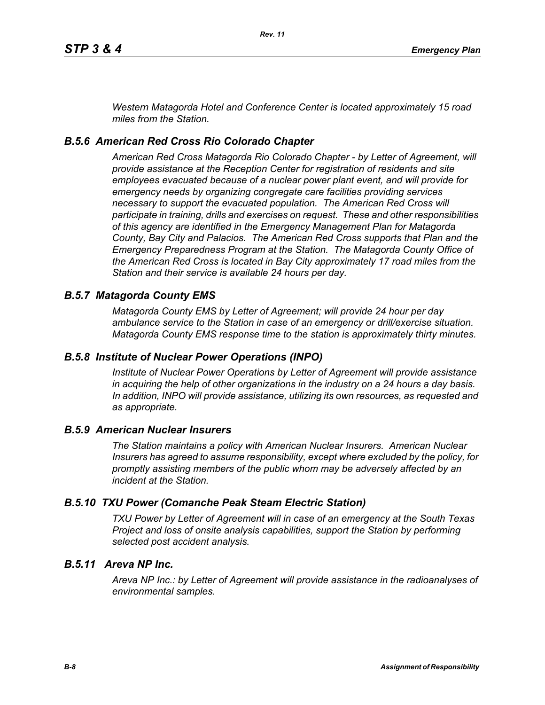*Western Matagorda Hotel and Conference Center is located approximately 15 road miles from the Station.*

# *B.5.6 American Red Cross Rio Colorado Chapter*

*American Red Cross Matagorda Rio Colorado Chapter - by Letter of Agreement, will provide assistance at the Reception Center for registration of residents and site employees evacuated because of a nuclear power plant event, and will provide for emergency needs by organizing congregate care facilities providing services necessary to support the evacuated population. The American Red Cross will participate in training, drills and exercises on request. These and other responsibilities of this agency are identified in the Emergency Management Plan for Matagorda County, Bay City and Palacios. The American Red Cross supports that Plan and the Emergency Preparedness Program at the Station. The Matagorda County Office of the American Red Cross is located in Bay City approximately 17 road miles from the Station and their service is available 24 hours per day.*

# *B.5.7 Matagorda County EMS*

*Matagorda County EMS by Letter of Agreement; will provide 24 hour per day ambulance service to the Station in case of an emergency or drill/exercise situation. Matagorda County EMS response time to the station is approximately thirty minutes.*

# *B.5.8 Institute of Nuclear Power Operations (INPO)*

*Institute of Nuclear Power Operations by Letter of Agreement will provide assistance in acquiring the help of other organizations in the industry on a 24 hours a day basis. In addition, INPO will provide assistance, utilizing its own resources, as requested and as appropriate.*

#### *B.5.9 American Nuclear Insurers*

*The Station maintains a policy with American Nuclear Insurers. American Nuclear Insurers has agreed to assume responsibility, except where excluded by the policy, for promptly assisting members of the public whom may be adversely affected by an incident at the Station.*

# *B.5.10 TXU Power (Comanche Peak Steam Electric Station)*

*TXU Power by Letter of Agreement will in case of an emergency at the South Texas Project and loss of onsite analysis capabilities, support the Station by performing selected post accident analysis.*

# *B.5.11 Areva NP Inc.*

*Areva NP Inc.: by Letter of Agreement will provide assistance in the radioanalyses of environmental samples.*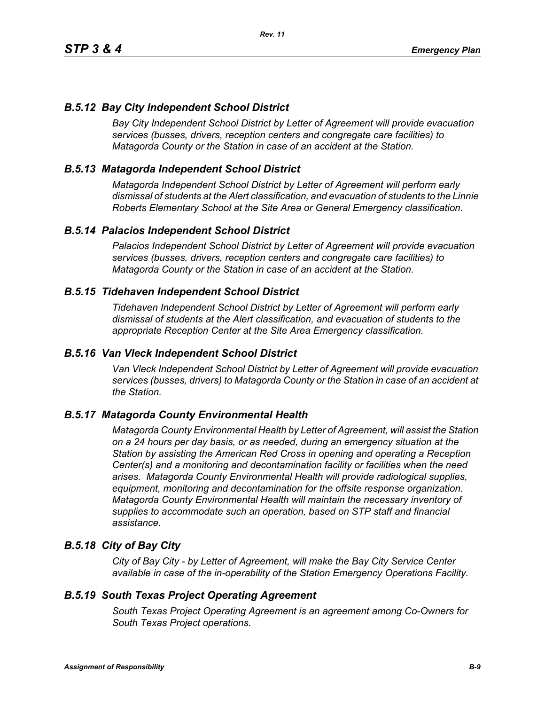# *B.5.12 Bay City Independent School District*

*Bay City Independent School District by Letter of Agreement will provide evacuation services (busses, drivers, reception centers and congregate care facilities) to Matagorda County or the Station in case of an accident at the Station.*

# *B.5.13 Matagorda Independent School District*

*Matagorda Independent School District by Letter of Agreement will perform early dismissal of students at the Alert classification, and evacuation of students to the Linnie Roberts Elementary School at the Site Area or General Emergency classification.*

### *B.5.14 Palacios Independent School District*

*Palacios Independent School District by Letter of Agreement will provide evacuation services (busses, drivers, reception centers and congregate care facilities) to Matagorda County or the Station in case of an accident at the Station.*

### *B.5.15 Tidehaven Independent School District*

*Tidehaven Independent School District by Letter of Agreement will perform early dismissal of students at the Alert classification, and evacuation of students to the appropriate Reception Center at the Site Area Emergency classification.*

#### *B.5.16 Van Vleck Independent School District*

*Van Vleck Independent School District by Letter of Agreement will provide evacuation services (busses, drivers) to Matagorda County or the Station in case of an accident at the Station.*

# *B.5.17 Matagorda County Environmental Health*

*Matagorda County Environmental Health by Letter of Agreement, will assist the Station on a 24 hours per day basis, or as needed, during an emergency situation at the Station by assisting the American Red Cross in opening and operating a Reception Center(s) and a monitoring and decontamination facility or facilities when the need arises. Matagorda County Environmental Health will provide radiological supplies, equipment, monitoring and decontamination for the offsite response organization. Matagorda County Environmental Health will maintain the necessary inventory of supplies to accommodate such an operation, based on STP staff and financial assistance.*

# *B.5.18 City of Bay City*

*City of Bay City - by Letter of Agreement, will make the Bay City Service Center available in case of the in-operability of the Station Emergency Operations Facility.*

#### *B.5.19 South Texas Project Operating Agreement*

*South Texas Project Operating Agreement is an agreement among Co-Owners for South Texas Project operations.*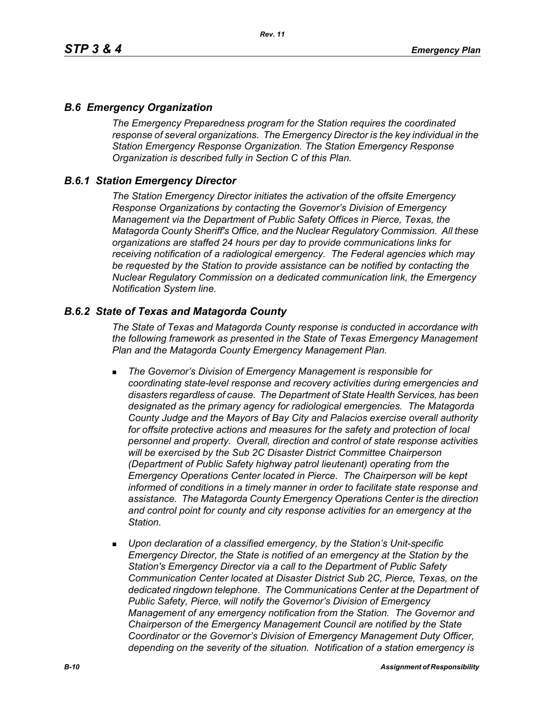# *B.6 Emergency Organization*

*The Emergency Preparedness program for the Station requires the coordinated response of several organizations. The Emergency Director is the key individual in the Station Emergency Response Organization. The Station Emergency Response Organization is described fully in Section C of this Plan.*

### *B.6.1 Station Emergency Director*

*The Station Emergency Director initiates the activation of the offsite Emergency Response Organizations by contacting the Governor's Division of Emergency Management via the Department of Public Safety Offices in Pierce, Texas, the Matagorda County Sheriff's Office, and the Nuclear Regulatory Commission. All these organizations are staffed 24 hours per day to provide communications links for receiving notification of a radiological emergency. The Federal agencies which may be requested by the Station to provide assistance can be notified by contacting the Nuclear Regulatory Commission on a dedicated communication link, the Emergency Notification System line.*

### *B.6.2 State of Texas and Matagorda County*

*The State of Texas and Matagorda County response is conducted in accordance with the following framework as presented in the State of Texas Emergency Management Plan and the Matagorda County Emergency Management Plan.*

- *The Governor's Division of Emergency Management is responsible for coordinating state-level response and recovery activities during emergencies and disasters regardless of cause. The Department of State Health Services, has been designated as the primary agency for radiological emergencies. The Matagorda County Judge and the Mayors of Bay City and Palacios exercise overall authority*  for offsite protective actions and measures for the safety and protection of local *personnel and property. Overall, direction and control of state response activities will be exercised by the Sub 2C Disaster District Committee Chairperson (Department of Public Safety highway patrol lieutenant) operating from the Emergency Operations Center located in Pierce. The Chairperson will be kept informed of conditions in a timely manner in order to facilitate state response and assistance. The Matagorda County Emergency Operations Center is the direction and control point for county and city response activities for an emergency at the Station.*
- *Upon declaration of a classified emergency, by the Station's Unit-specific Emergency Director, the State is notified of an emergency at the Station by the Station's Emergency Director via a call to the Department of Public Safety Communication Center located at Disaster District Sub 2C, Pierce, Texas, on the dedicated ringdown telephone. The Communications Center at the Department of Public Safety, Pierce, will notify the Governor's Division of Emergency Management of any emergency notification from the Station. The Governor and Chairperson of the Emergency Management Council are notified by the State Coordinator or the Governor's Division of Emergency Management Duty Officer, depending on the severity of the situation. Notification of a station emergency is*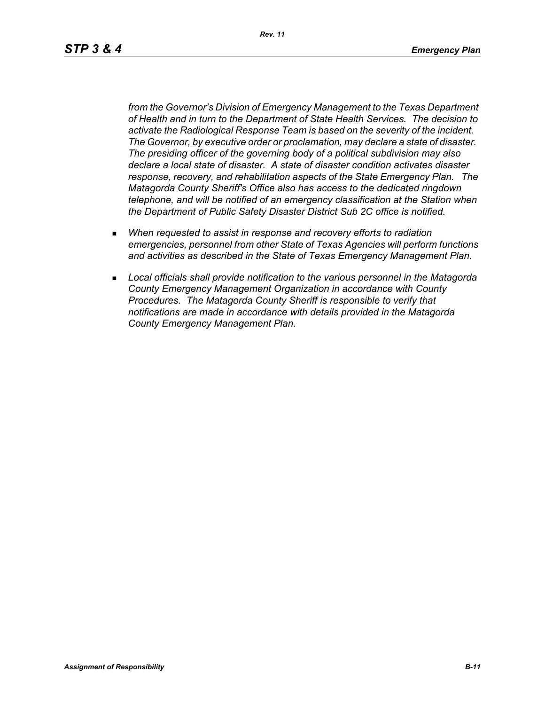*Rev. 11*

*from the Governor's Division of Emergency Management to the Texas Department of Health and in turn to the Department of State Health Services. The decision to activate the Radiological Response Team is based on the severity of the incident. The Governor, by executive order or proclamation, may declare a state of disaster. The presiding officer of the governing body of a political subdivision may also declare a local state of disaster. A state of disaster condition activates disaster response, recovery, and rehabilitation aspects of the State Emergency Plan. The Matagorda County Sheriff's Office also has access to the dedicated ringdown telephone, and will be notified of an emergency classification at the Station when the Department of Public Safety Disaster District Sub 2C office is notified.*

- *When requested to assist in response and recovery efforts to radiation emergencies, personnel from other State of Texas Agencies will perform functions and activities as described in the State of Texas Emergency Management Plan.*
- *Local officials shall provide notification to the various personnel in the Matagorda County Emergency Management Organization in accordance with County Procedures. The Matagorda County Sheriff is responsible to verify that notifications are made in accordance with details provided in the Matagorda County Emergency Management Plan.*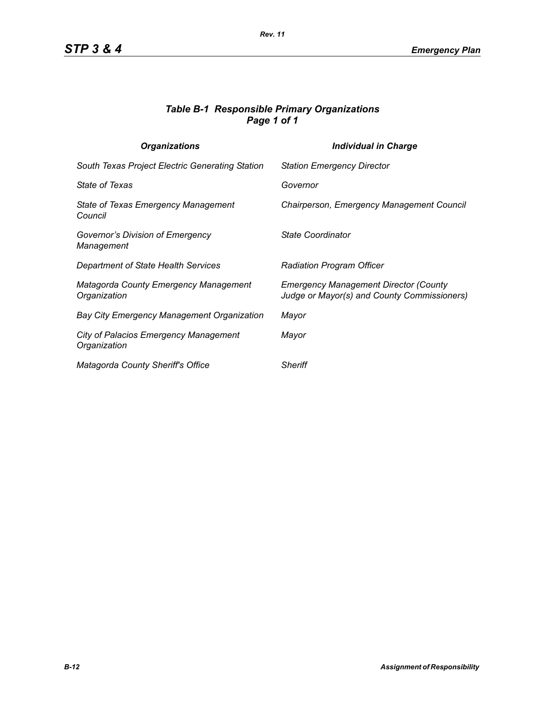### *Table B-1 Responsible Primary Organizations Page 1 of 1*

| <b>Organizations</b>                                         | <b>Individual in Charge</b>                                                                 |
|--------------------------------------------------------------|---------------------------------------------------------------------------------------------|
| South Texas Project Electric Generating Station              | <b>Station Emergency Director</b>                                                           |
| <b>State of Texas</b>                                        | Governor                                                                                    |
| State of Texas Emergency Management<br>Council               | Chairperson, Emergency Management Council                                                   |
| Governor's Division of Emergency<br>Management               | State Coordinator                                                                           |
| Department of State Health Services                          | <b>Radiation Program Officer</b>                                                            |
| <b>Matagorda County Emergency Management</b><br>Organization | <b>Emergency Management Director (County</b><br>Judge or Mayor(s) and County Commissioners) |
| <b>Bay City Emergency Management Organization</b>            | Mayor                                                                                       |
| <b>City of Palacios Emergency Management</b><br>Organization | Mayor                                                                                       |
| Matagorda County Sheriff's Office                            | <b>Sheriff</b>                                                                              |